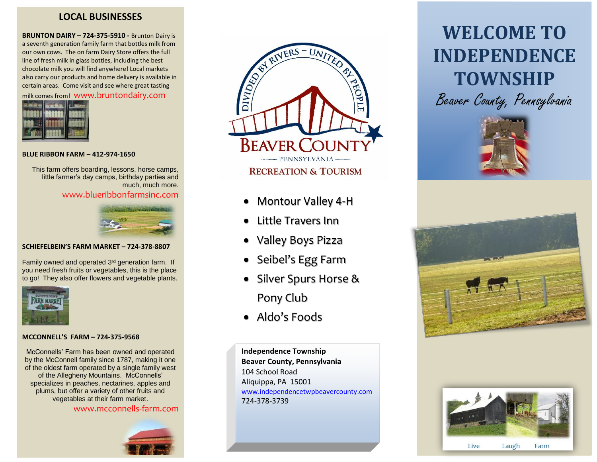## **LOCAL BUSINESSES**

**BRUNTON DAIRY – 724-375-5910 -** Brunton Dairy is a seventh generation family farm that bottles milk from our own cows. The on farm Dairy Store offers the full line of fresh milk in glass bottles, including the best chocolate milk you will find anywhere! Local markets also carry our products and home delivery is available in certain areas. Come visit and see where great tasting milk comes from! www.bruntondairy.com



#### **BLUE RIBBON FARM – 412-974-1650**

This farm offers boarding, lessons, horse camps, little farmer's day camps, birthday parties and much, much more.

www.blueribbonfarmsinc.com



#### **SCHIEFELBEIN'S FARM MARKET – 724-378-8807**

Family owned and operated 3<sup>rd</sup> generation farm. If you need fresh fruits or vegetables, this is the place to go! They also offer flowers and vegetable plants.



#### **MCCONNELL'S FARM – 724-375-9568**

McConnells' Farm has been owned and operated by the McConnell family since 1787, making it one of the oldest farm operated by a single family west of the Allegheny Mountains. McConnells' specializes in peaches, nectarines, apples and plums, but offer a variety of other fruits and vegetables at their farm market.

www.mcconnells-farm.com





- Montour Valley 4-H
- Little Travers Inn
- Valley Boys Pizza
- Seibel's Egg Farm
- Silver Spurs Horse & Pony Club
- Aldo's Foods

**Independence Township Beaver County, Pennsylvania** 104 School Road Aliquippa, PA 15001 [www.independencetwpbeavercounty.com](http://www.independencetwpbeavercounty.com/) 724-378-3739

# **WELCOME TO INDEPENDENCE TOWNSHIP** Beaver County, Pennsylvania







Live Laugh Farm